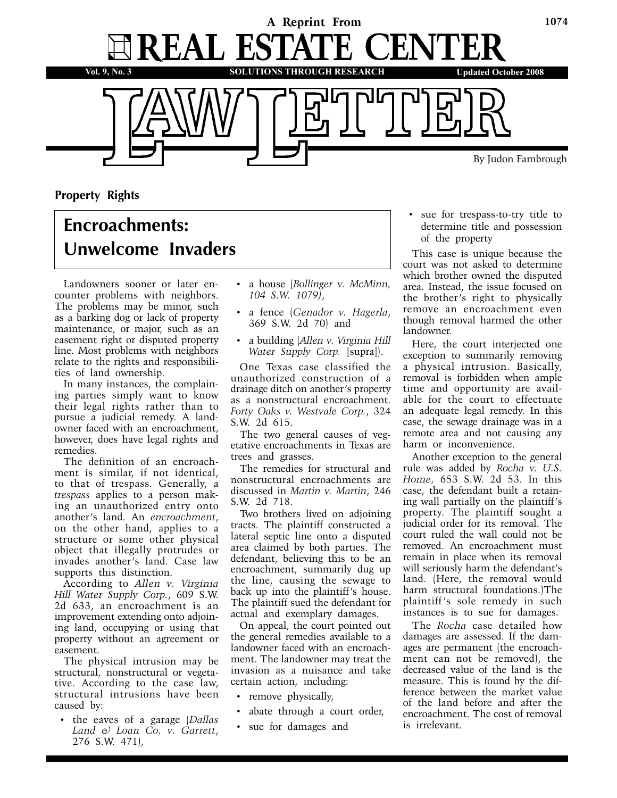

**Property Rights**

## **Encroachments: Unwelcome Invaders**

Landowners sooner or later encounter problems with neighbors. The problems may be minor, such as a barking dog or lack of property maintenance, or major, such as an easement right or disputed property line. Most problems with neighbors relate to the rights and responsibilities of land ownership.

In many instances, the complaining parties simply want to know their legal rights rather than to pursue a judicial remedy. A landowner faced with an encroachment, however, does have legal rights and remedies.

The definition of an encroachment is similar, if not identical, to that of trespass. Generally, a *trespass* applies to a person making an unauthorized entry onto another's land. An *encroachment*, on the other hand, applies to a structure or some other physical object that illegally protrudes or invades another's land. Case law supports this distinction.

According to *Allen v. Virginia Hill Water Supply Corp.*, 609 S.W. 2d 633, an encroachment is an improvement extending onto adjoining land, occupying or using that property without an agreement or easement.

The physical intrusion may be structural, nonstructural or vegetative. According to the case law, structural intrusions have been caused by:

• the eaves of a garage (*Dallas Land & Loan Co. v. Garrett*, 276 S.W. 471),

- a house (*Bollinger v. McMinn, 104 S.W. 1079)*,
- a fence (*Genador v. Hagerla*, 369 S.W. 2d 70) and
- a building (*Allen v. Virginia Hill Water Supply Corp.* [supra]).

One Texas case classified the unauthorized construction of a drainage ditch on another's property as a nonstructural encroachment. *Forty Oaks v. Westvale Corp.*, 324 S.W. 2d 615.

The two general causes of vegetative encroachments in Texas are trees and grasses.

The remedies for structural and nonstructural encroachments are discussed in *Martin v. Martin*, 246 S.W. 2d 718.

Two brothers lived on adjoining tracts. The plaintiff constructed a lateral septic line onto a disputed area claimed by both parties. The defendant, believing this to be an encroachment, summarily dug up the line, causing the sewage to back up into the plaintiff's house. The plaintiff sued the defendant for actual and exemplary damages.

On appeal, the court pointed out the general remedies available to a landowner faced with an encroachment. The landowner may treat the invasion as a nuisance and take certain action, including:

- remove physically,
- abate through a court order,
- sue for damages and

• sue for trespass-to-try title to determine title and possession of the property

This case is unique because the court was not asked to determine which brother owned the disputed area. Instead, the issue focused on the brother's right to physically remove an encroachment even though removal harmed the other landowner.

Here, the court interjected one exception to summarily removing a physical intrusion. Basically, removal is forbidden when ample time and opportunity are available for the court to effectuate an adequate legal remedy. In this case, the sewage drainage was in a remote area and not causing any harm or inconvenience.

Another exception to the general rule was added by *Rocha v. U.S. Home,* 653 S.W. 2d 53. In this case, the defendant built a retaining wall partially on the plaintiff's property. The plaintiff sought a judicial order for its removal. The court ruled the wall could not be removed. An encroachment must remain in place when its removal will seriously harm the defendant's land. (Here, the removal would harm structural foundations.)The plaintiff 's sole remedy in such instances is to sue for damages.

The *Rocha* case detailed how damages are assessed. If the damages are permanent (the encroachment can not be removed), the decreased value of the land is the measure. This is found by the difference between the market value of the land before and after the encroachment. The cost of removal is irrelevant.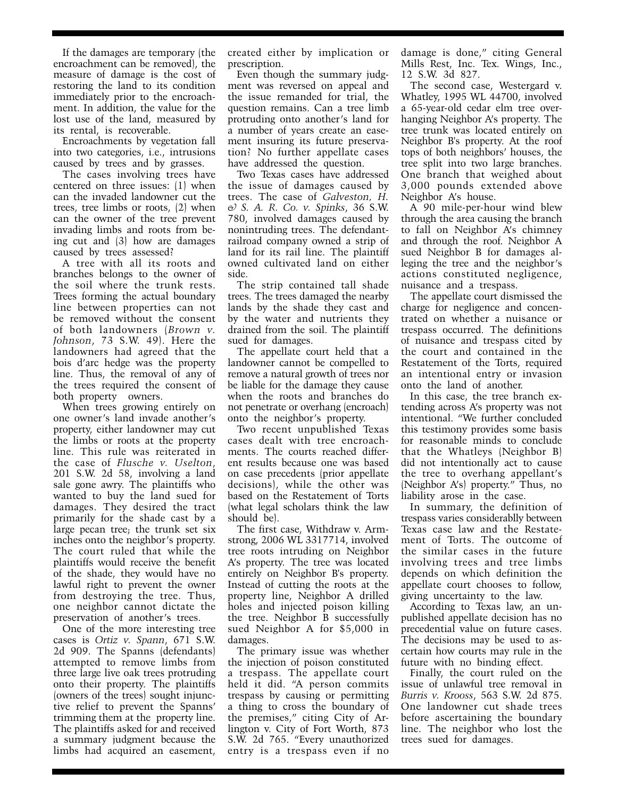If the damages are temporary (the encroachment can be removed), the measure of damage is the cost of restoring the land to its condition immediately prior to the encroachment. In addition, the value for the lost use of the land, measured by its rental, is recoverable.

Encroachments by vegetation fall into two categories, i.e., intrusions caused by trees and by grasses.

The cases involving trees have centered on three issues: (1) when can the invaded landowner cut the trees, tree limbs or roots, (2) when can the owner of the tree prevent invading limbs and roots from being cut and (3) how are damages caused by trees assessed?

A tree with all its roots and branches belongs to the owner of the soil where the trunk rests. Trees forming the actual boundary line between properties can not be removed without the consent of both landowners (*Brown v. Johnson*, 73 S.W. 49). Here the landowners had agreed that the bois d'arc hedge was the property line. Thus, the removal of any of the trees required the consent of both property owners.

When trees growing entirely on one owner's land invade another's property, either landowner may cut the limbs or roots at the property line. This rule was reiterated in the case of *Flusche v. Uselton*, 201 S.W. 2d 58, involving a land sale gone awry. The plaintiffs who wanted to buy the land sued for damages. They desired the tract primarily for the shade cast by a large pecan tree; the trunk set six inches onto the neighbor's property. The court ruled that while the plaintiffs would receive the benefit of the shade, they would have no lawful right to prevent the owner from destroying the tree. Thus, one neighbor cannot dictate the preservation of another's trees.

One of the more interesting tree cases is *Ortiz v. Spann*, 671 S.W. 2d 909. The Spanns (defendants) attempted to remove limbs from three large live oak trees protruding onto their property. The plaintiffs (owners of the trees) sought injunctive relief to prevent the Spanns' trimming them at the property line. The plaintiffs asked for and received a summary judgment because the limbs had acquired an easement,

created either by implication or prescription.

Even though the summary judgment was reversed on appeal and the issue remanded for trial, the question remains. Can a tree limb protruding onto another's land for a number of years create an easement insuring its future preservation? No further appellate cases have addressed the question.

Two Texas cases have addressed the issue of damages caused by trees. The case of *Galveston, H. & S. A. R. Co. v. Spinks*, 36 S.W. 780, involved damages caused by nonintruding trees. The defendantrailroad company owned a strip of land for its rail line. The plaintiff owned cultivated land on either side.

The strip contained tall shade trees. The trees damaged the nearby lands by the shade they cast and by the water and nutrients they drained from the soil. The plaintiff sued for damages.

The appellate court held that a landowner cannot be compelled to remove a natural growth of trees nor be liable for the damage they cause when the roots and branches do not penetrate or overhang (encroach) onto the neighbor's property.

Two recent unpublished Texas cases dealt with tree encroachments. The courts reached different results because one was based on case precedents (prior appellate decisions), while the other was based on the Restatement of Torts (what legal scholars think the law should be).

The first case, Withdraw v. Armstrong, 2006 WL 3317714, involved tree roots intruding on Neighbor A's property. The tree was located entirely on Neighbor B's property. Instead of cutting the roots at the property line, Neighbor A drilled holes and injected poison killing the tree. Neighbor B successfully sued Neighbor A for \$5,000 in damages.

The primary issue was whether the injection of poison constituted a trespass. The appellate court held it did. "A person commits trespass by causing or permitting a thing to cross the boundary of the premises," citing City of Arlington v. City of Fort Worth, 873 S.W. 2d 765. "Every unauthorized entry is a trespass even if no damage is done," citing General Mills Rest, Inc. Tex. Wings, Inc., 12 S.W. 3d 827.

The second case, Westergard v. Whatley, 1995 WL 44700, involved a 65-year-old cedar elm tree overhanging Neighbor A's property. The tree trunk was located entirely on Neighbor B's property. At the roof tops of both neighbors' houses, the tree split into two large branches. One branch that weighed about 3,000 pounds extended above Neighbor A's house.

A 90 mile-per-hour wind blew through the area causing the branch to fall on Neighbor A's chimney and through the roof. Neighbor A sued Neighbor B for damages alleging the tree and the neighbor's actions constituted negligence, nuisance and a trespass.

The appellate court dismissed the charge for negligence and concentrated on whether a nuisance or trespass occurred. The definitions of nuisance and trespass cited by the court and contained in the Restatement of the Torts, required an intentional entry or invasion onto the land of another.

In this case, the tree branch extending across A's property was not intentional. "We further concluded this testimony provides some basis for reasonable minds to conclude that the Whatleys (Neighbor B) did not intentionally act to cause the tree to overhang appellant's (Neighbor A's) property." Thus, no liability arose in the case.

In summary, the definition of trespass varies considerablly between Texas case law and the Restatement of Torts. The outcome of the similar cases in the future involving trees and tree limbs depends on which definition the appellate court chooses to follow, giving uncertainty to the law.

According to Texas law, an unpublished appellate decision has no precedential value on future cases. The decisions may be used to ascertain how courts may rule in the future with no binding effect.

Finally, the court ruled on the issue of unlawful tree removal in *Burris v. Krooss*, 563 S.W. 2d 875. One landowner cut shade trees before ascertaining the boundary line. The neighbor who lost the trees sued for damages.